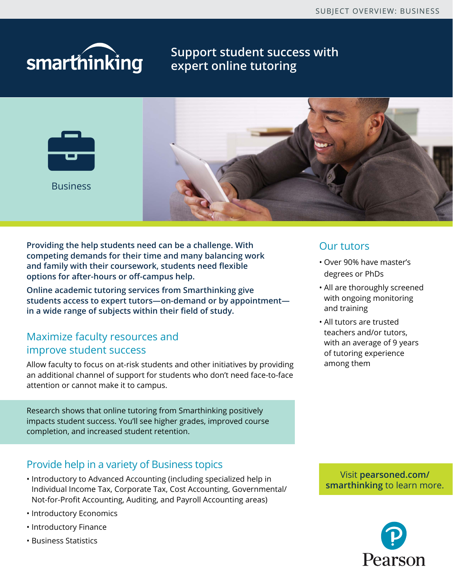# smarthinking

# **Support student success with expert online tutoring**



**Providing the help students need can be a challenge. With competing demands for their time and many balancing work and family with their coursework, students need flexible options for after-hours or off-campus help.**

**Online academic tutoring services from Smarthinking give students access to expert tutors—on-demand or by appointment in a wide range of subjects within their field of study.**

# Maximize faculty resources and improve student success

Allow faculty to focus on at-risk students and other initiatives by providing an additional channel of support for students who don't need face-to-face attention or cannot make it to campus.

Research shows that online tutoring from Smarthinking positively impacts student success. You'll see higher grades, improved course completion, and increased student retention.

# Provide help in a variety of Business topics

- Introductory to Advanced Accounting (including specialized help in Individual Income Tax, Corporate Tax, Cost Accounting, Governmental/ Not-for-Profit Accounting, Auditing, and Payroll Accounting areas)
- Introductory Economics
- Introductory Finance
- Business Statistics

### Our tutors

- Over 90% have master's degrees or PhDs
- All are thoroughly screened with ongoing monitoring and training
- All tutors are trusted teachers and/or tutors, with an average of 9 years of tutoring experience among them

Visit **[pearsoned.com/](http://www.pearsoned.com/higher-education/products-and-services/smarthinking/) [smarthinking](http://www.pearsoned.com/higher-education/products-and-services/smarthinking/)** to learn more.